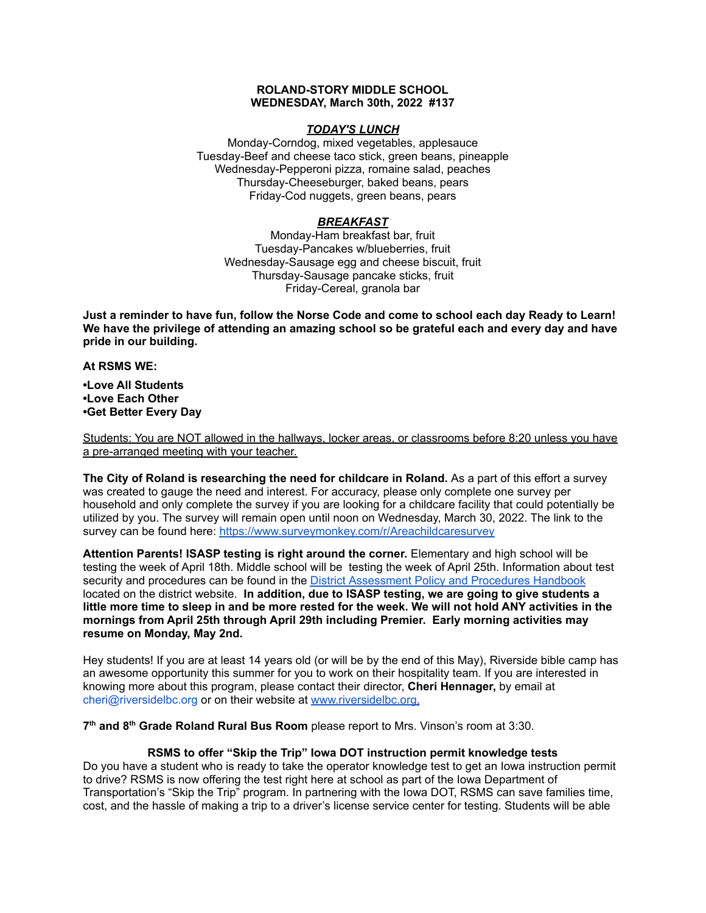## **ROLAND-STORY MIDDLE SCHOOL WEDNESDAY, March 30th, 2022 #137**

# *TODAY'S LUNCH*

Monday-Corndog, mixed vegetables, applesauce Tuesday-Beef and cheese taco stick, green beans, pineapple Wednesday-Pepperoni pizza, romaine salad, peaches Thursday-Cheeseburger, baked beans, pears Friday-Cod nuggets, green beans, pears

# *BREAKFAST*

Monday-Ham breakfast bar, fruit Tuesday-Pancakes w/blueberries, fruit Wednesday-Sausage egg and cheese biscuit, fruit Thursday-Sausage pancake sticks, fruit Friday-Cereal, granola bar

Just a reminder to have fun, follow the Norse Code and come to school each day Ready to Learn! **We have the privilege of attending an amazing school so be grateful each and every day and have pride in our building.**

#### **At RSMS WE:**

**•Love All Students •Love Each Other •Get Better Every Day**

Students: You are NOT allowed in the hallways, locker areas, or classrooms before 8:20 unless you have a pre-arranged meeting with your teacher.

**The City of Roland is researching the need for childcare in Roland.** As a part of this effort a survey was created to gauge the need and interest. For accuracy, please only complete one survey per household and only complete the survey if you are looking for a childcare facility that could potentially be utilized by you. The survey will remain open until noon on Wednesday, March 30, 2022. The link to the survey can be found here: <https://www.surveymonkey.com/r/Areachildcaresurvey>

**Attention Parents! ISASP testing is right around the corner.** Elementary and high school will be testing the week of April 18th. Middle school will be testing the week of April 25th. Information about test security and procedures can be found in the District [Assessment](https://rolandstory.school/media/Michelle%20Soderstrum/RSCSD_District_Assessment_Poli%20-%20Copy%203.pdf) Policy and Procedures Handbook located on the district website. **In addition, due to ISASP testing, we are going to give students a** little more time to sleep in and be more rested for the week. We will not hold ANY activities in the **mornings from April 25th through April 29th including Premier. Early morning activities may resume on Monday, May 2nd.**

Hey students! If you are at least 14 years old (or will be by the end of this May), Riverside bible camp has an awesome opportunity this summer for you to work on their hospitality team. If you are interested in knowing more about this program, please contact their director, **Cheri Hennager,** by email at cheri@riversidelbc.org or on their website at [www.riversidelbc.org.](http://www.riversidelbc.org/)

**7 th and 8 th Grade Roland Rural Bus Room** please report to Mrs. Vinson's room at 3:30.

# **RSMS to offer "Skip the Trip" Iowa DOT instruction permit knowledge tests**

Do you have a student who is ready to take the operator knowledge test to get an Iowa instruction permit to drive? RSMS is now offering the test right here at school as part of the Iowa Department of Transportation's "Skip the Trip" program. In partnering with the Iowa DOT, RSMS can save families time, cost, and the hassle of making a trip to a driver's license service center for testing. Students will be able